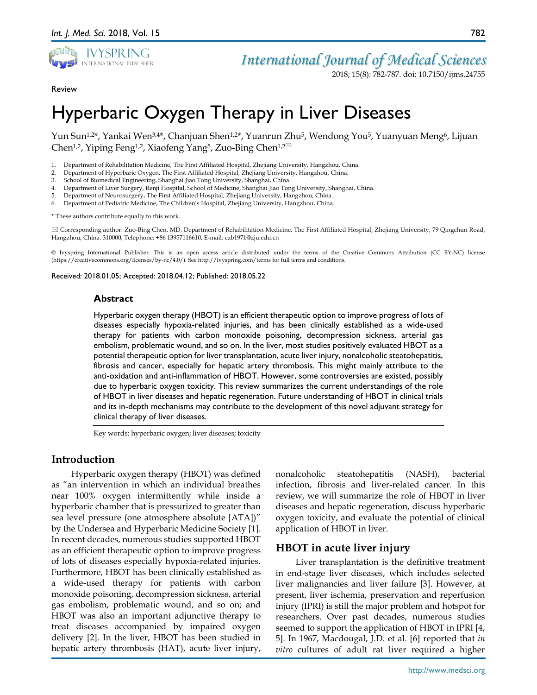

2018; 15(8): 782-787. doi: 10.7150/ijms.24755

782

Review

# Hyperbaric Oxygen Therapy in Liver Diseases

Yun Sun1,2\*, Yankai Wen3,4\*, Chanjuan Shen1,2\*, Yuanrun Zhu5, Wendong You5, Yuanyuan Meng6, Lijuan Chen<sup>1,2</sup>, Yiping Feng<sup>1,2</sup>, Xiaofeng Yang<sup>5</sup>, Zuo-Bing Chen<sup>1,2⊠</sup>

- 1. Department of Rehabilitation Medicine, The First Affiliated Hospital, Zhejiang University, Hangzhou, China.
- 2. Department of Hyperbaric Oxygen, The First Affiliated Hospital, Zhejiang University, Hangzhou, China.
- 3. School of Biomedical Engineering, Shanghai Jiao Tong University, Shanghai, China.
- 4. Department of Liver Surgery, Renji Hospital, School of Medicine, Shanghai Jiao Tong University, Shanghai, China.
- 5. Department of Neurosurgery, The First Affiliated Hospital, Zhejiang University, Hangzhou, China.
- 6. Department of Pediatric Medicine, The Children's Hospital, Zhejiang University, Hangzhou, China.

\* These authors contribute equally to this work.

 Corresponding author: Zuo-Bing Chen, MD, Department of Rehabilitation Medicine, The First Affiliated Hospital, Zhejiang University, 79 Qingchun Road, Hangzhou, China. 310000, Telephone: +86 13957116610, E-mail: czb1971@zju.edu.cn

© Ivyspring International Publisher. This is an open access article distributed under the terms of the Creative Commons Attribution (CC BY-NC) license (https://creativecommons.org/licenses/by-nc/4.0/). See http://ivyspring.com/terms for full terms and conditions.

Received: 2018.01.05; Accepted: 2018.04.12; Published: 2018.05.22

#### **Abstract**

Hyperbaric oxygen therapy (HBOT) is an efficient therapeutic option to improve progress of lots of diseases especially hypoxia-related injuries, and has been clinically established as a wide-used therapy for patients with carbon monoxide poisoning, decompression sickness, arterial gas embolism, problematic wound, and so on. In the liver, most studies positively evaluated HBOT as a potential therapeutic option for liver transplantation, acute liver injury, nonalcoholic steatohepatitis, fibrosis and cancer, especially for hepatic artery thrombosis. This might mainly attribute to the anti-oxidation and anti-inflammation of HBOT. However, some controversies are existed, possibly due to hyperbaric oxygen toxicity. This review summarizes the current understandings of the role of HBOT in liver diseases and hepatic regeneration. Future understanding of HBOT in clinical trials and its in-depth mechanisms may contribute to the development of this novel adjuvant strategy for clinical therapy of liver diseases.

Key words: hyperbaric oxygen; liver diseases; toxicity

## **Introduction**

Hyperbaric oxygen therapy (HBOT) was defined as "an intervention in which an individual breathes near 100% oxygen intermittently while inside a hyperbaric chamber that is pressurized to greater than sea level pressure (one atmosphere absolute [ATA])" by the Undersea and Hyperbaric Medicine Society [1]. In recent decades, numerous studies supported HBOT as an efficient therapeutic option to improve progress of lots of diseases especially hypoxia-related injuries. Furthermore, HBOT has been clinically established as a wide-used therapy for patients with carbon monoxide poisoning, decompression sickness, arterial gas embolism, problematic wound, and so on; and HBOT was also an important adjunctive therapy to treat diseases accompanied by impaired oxygen delivery [2]. In the liver, HBOT has been studied in hepatic artery thrombosis (HAT), acute liver injury, nonalcoholic steatohepatitis (NASH), bacterial infection, fibrosis and liver-related cancer. In this review, we will summarize the role of HBOT in liver diseases and hepatic regeneration, discuss hyperbaric oxygen toxicity, and evaluate the potential of clinical application of HBOT in liver.

## **HBOT in acute liver injury**

Liver transplantation is the definitive treatment in end-stage liver diseases, which includes selected liver malignancies and liver failure [3]. However, at present, liver ischemia, preservation and reperfusion injury (IPRI) is still the major problem and hotspot for researchers. Over past decades, numerous studies seemed to support the application of HBOT in IPRI [4, 5]. In 1967, Macdougal, J.D. et al. [6] reported that *in vitro* cultures of adult rat liver required a higher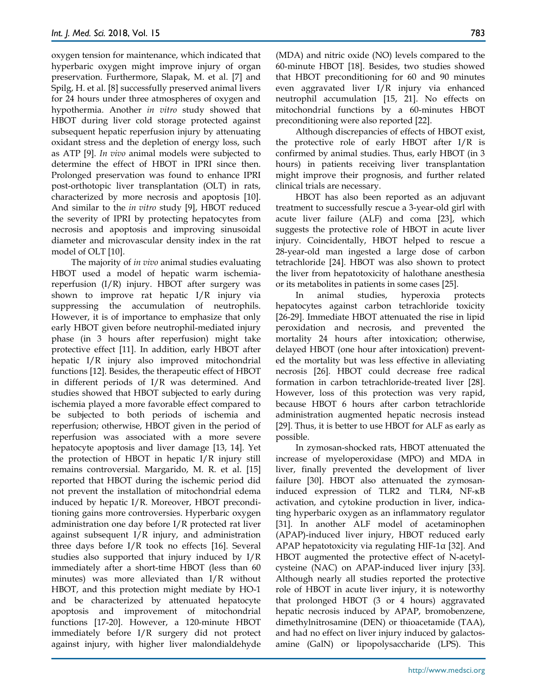oxygen tension for maintenance, which indicated that hyperbaric oxygen might improve injury of organ preservation. Furthermore, Slapak, M. et al. [7] and Spilg, H. et al. [8] successfully preserved animal livers for 24 hours under three atmospheres of oxygen and hypothermia. Another *in vitro* study showed that HBOT during liver cold storage protected against subsequent hepatic reperfusion injury by attenuating oxidant stress and the depletion of energy loss, such as ATP [9]. *In vivo* animal models were subjected to determine the effect of HBOT in IPRI since then. Prolonged preservation was found to enhance IPRI post-orthotopic liver transplantation (OLT) in rats, characterized by more necrosis and apoptosis [10]. And similar to the *in vitro* study [9], HBOT reduced the severity of IPRI by protecting hepatocytes from necrosis and apoptosis and improving sinusoidal diameter and microvascular density index in the rat model of OLT [10].

The majority of *in vivo* animal studies evaluating HBOT used a model of hepatic warm ischemiareperfusion  $(I/R)$  injury. HBOT after surgery was shown to improve rat hepatic I/R injury via suppressing the accumulation of neutrophils. However, it is of importance to emphasize that only early HBOT given before neutrophil-mediated injury phase (in 3 hours after reperfusion) might take protective effect [11]. In addition, early HBOT after hepatic I/R injury also improved mitochondrial functions [12]. Besides, the therapeutic effect of HBOT in different periods of I/R was determined. And studies showed that HBOT subjected to early during ischemia played a more favorable effect compared to be subjected to both periods of ischemia and reperfusion; otherwise, HBOT given in the period of reperfusion was associated with a more severe hepatocyte apoptosis and liver damage [13, 14]. Yet the protection of HBOT in hepatic I/R injury still remains controversial. Margarido, M. R. et al. [15] reported that HBOT during the ischemic period did not prevent the installation of mitochondrial edema induced by hepatic I/R. Moreover, HBOT preconditioning gains more controversies. Hyperbaric oxygen administration one day before I/R protected rat liver against subsequent I/R injury, and administration three days before I/R took no effects [16]. Several studies also supported that injury induced by I/R immediately after a short-time HBOT (less than 60 minutes) was more alleviated than I/R without HBOT, and this protection might mediate by HO-1 and be characterized by attenuated hepatocyte apoptosis and improvement of mitochondrial functions [17-20]. However, a 120-minute HBOT immediately before I/R surgery did not protect against injury, with higher liver malondialdehyde

(MDA) and nitric oxide (NO) levels compared to the 60-minute HBOT [18]. Besides, two studies showed that HBOT preconditioning for 60 and 90 minutes even aggravated liver I/R injury via enhanced neutrophil accumulation [15, 21]. No effects on mitochondrial functions by a 60-minutes HBOT preconditioning were also reported [22].

Although discrepancies of effects of HBOT exist, the protective role of early HBOT after I/R is confirmed by animal studies. Thus, early HBOT (in 3 hours) in patients receiving liver transplantation might improve their prognosis, and further related clinical trials are necessary.

HBOT has also been reported as an adjuvant treatment to successfully rescue a 3-year-old girl with acute liver failure (ALF) and coma [23], which suggests the protective role of HBOT in acute liver injury. Coincidentally, HBOT helped to rescue a 28-year-old man ingested a large dose of carbon tetrachloride [24]. HBOT was also shown to protect the liver from hepatotoxicity of halothane anesthesia or its metabolites in patients in some cases [25].

In animal studies, hyperoxia protects hepatocytes against carbon tetrachloride toxicity [26-29]. Immediate HBOT attenuated the rise in lipid peroxidation and necrosis, and prevented the mortality 24 hours after intoxication; otherwise, delayed HBOT (one hour after intoxication) prevented the mortality but was less effective in alleviating necrosis [26]. HBOT could decrease free radical formation in carbon tetrachloride-treated liver [28]. However, loss of this protection was very rapid, because HBOT 6 hours after carbon tetrachloride administration augmented hepatic necrosis instead [29]. Thus, it is better to use HBOT for ALF as early as possible.

In zymosan-shocked rats, HBOT attenuated the increase of myeloperoxidase (MPO) and MDA in liver, finally prevented the development of liver failure [30]. HBOT also attenuated the zymosaninduced expression of TLR2 and TLR4, NF-κB activation, and cytokine production in liver, indicating hyperbaric oxygen as an inflammatory regulator [31]. In another ALF model of acetaminophen (APAP)-induced liver injury, HBOT reduced early APAP hepatotoxicity via regulating HIF-1α [32]. And HBOT augmented the protective effect of N-acetylcysteine (NAC) on APAP-induced liver injury [33]. Although nearly all studies reported the protective role of HBOT in acute liver injury, it is noteworthy that prolonged HBOT (3 or 4 hours) aggravated hepatic necrosis induced by APAP, bromobenzene, dimethylnitrosamine (DEN) or thioacetamide (TAA), and had no effect on liver injury induced by galactosamine (GalN) or lipopolysaccharide (LPS). This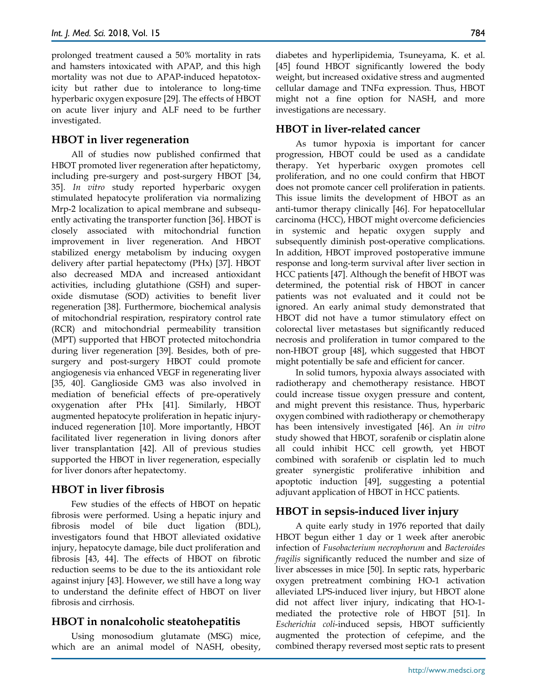prolonged treatment caused a 50% mortality in rats and hamsters intoxicated with APAP, and this high mortality was not due to APAP-induced hepatotoxicity but rather due to intolerance to long-time hyperbaric oxygen exposure [29]. The effects of HBOT on acute liver injury and ALF need to be further investigated.

# **HBOT in liver regeneration**

All of studies now published confirmed that HBOT promoted liver regeneration after hepatictomy, including pre-surgery and post-surgery HBOT [34, 35]. *In vitro* study reported hyperbaric oxygen stimulated hepatocyte proliferation via normalizing Mrp-2 localization to apical membrane and subsequently activating the transporter function [36]. HBOT is closely associated with mitochondrial function improvement in liver regeneration. And HBOT stabilized energy metabolism by inducing oxygen delivery after partial hepatectomy (PHx) [37]. HBOT also decreased MDA and increased antioxidant activities, including glutathione (GSH) and superoxide dismutase (SOD) activities to benefit liver regeneration [38]. Furthermore, biochemical analysis of mitochondrial respiration, respiratory control rate (RCR) and mitochondrial permeability transition (MPT) supported that HBOT protected mitochondria during liver regeneration [39]. Besides, both of presurgery and post-surgery HBOT could promote angiogenesis via enhanced VEGF in regenerating liver [35, 40]. Ganglioside GM3 was also involved in mediation of beneficial effects of pre-operatively oxygenation after PHx [41]. Similarly, HBOT augmented hepatocyte proliferation in hepatic injuryinduced regeneration [10]. More importantly, HBOT facilitated liver regeneration in living donors after liver transplantation [42]. All of previous studies supported the HBOT in liver regeneration, especially for liver donors after hepatectomy.

# **HBOT in liver fibrosis**

Few studies of the effects of HBOT on hepatic fibrosis were performed. Using a hepatic injury and fibrosis model of bile duct ligation (BDL), investigators found that HBOT alleviated oxidative injury, hepatocyte damage, bile duct proliferation and fibrosis [43, 44]. The effects of HBOT on fibrotic reduction seems to be due to the its antioxidant role against injury [43]. However, we still have a long way to understand the definite effect of HBOT on liver fibrosis and cirrhosis.

# **HBOT in nonalcoholic steatohepatitis**

Using monosodium glutamate (MSG) mice, which are an animal model of NASH, obesity,

diabetes and hyperlipidemia, Tsuneyama, K. et al. [45] found HBOT significantly lowered the body weight, but increased oxidative stress and augmented cellular damage and TNFα expression. Thus, HBOT might not a fine option for NASH, and more investigations are necessary.

# **HBOT in liver-related cancer**

As tumor hypoxia is important for cancer progression, HBOT could be used as a candidate therapy. Yet hyperbaric oxygen promotes cell proliferation, and no one could confirm that HBOT does not promote cancer cell proliferation in patients. This issue limits the development of HBOT as an anti-tumor therapy clinically [46]. For hepatocellular carcinoma (HCC), HBOT might overcome deficiencies in systemic and hepatic oxygen supply and subsequently diminish post-operative complications. In addition, HBOT improved postoperative immune response and long-term survival after liver section in HCC patients [47]. Although the benefit of HBOT was determined, the potential risk of HBOT in cancer patients was not evaluated and it could not be ignored. An early animal study demonstrated that HBOT did not have a tumor stimulatory effect on colorectal liver metastases but significantly reduced necrosis and proliferation in tumor compared to the non-HBOT group [48], which suggested that HBOT might potentially be safe and efficient for cancer.

In solid tumors, hypoxia always associated with radiotherapy and chemotherapy resistance. HBOT could increase tissue oxygen pressure and content, and might prevent this resistance. Thus, hyperbaric oxygen combined with radiotherapy or chemotherapy has been intensively investigated [46]. An *in vitro* study showed that HBOT, sorafenib or cisplatin alone all could inhibit HCC cell growth, yet HBOT combined with sorafenib or cisplatin led to much greater synergistic proliferative inhibition and apoptotic induction [49], suggesting a potential adjuvant application of HBOT in HCC patients.

# **HBOT in sepsis-induced liver injury**

A quite early study in 1976 reported that daily HBOT begun either 1 day or 1 week after anerobic infection of *Fusobacterium necrophorum* and *Bacteroides fragilis* significantly reduced the number and size of liver abscesses in mice [50]. In septic rats, hyperbaric oxygen pretreatment combining HO-1 activation alleviated LPS-induced liver injury, but HBOT alone did not affect liver injury, indicating that HO-1 mediated the protective role of HBOT [51]. In *Escherichia coli*-induced sepsis, HBOT sufficiently augmented the protection of cefepime, and the combined therapy reversed most septic rats to present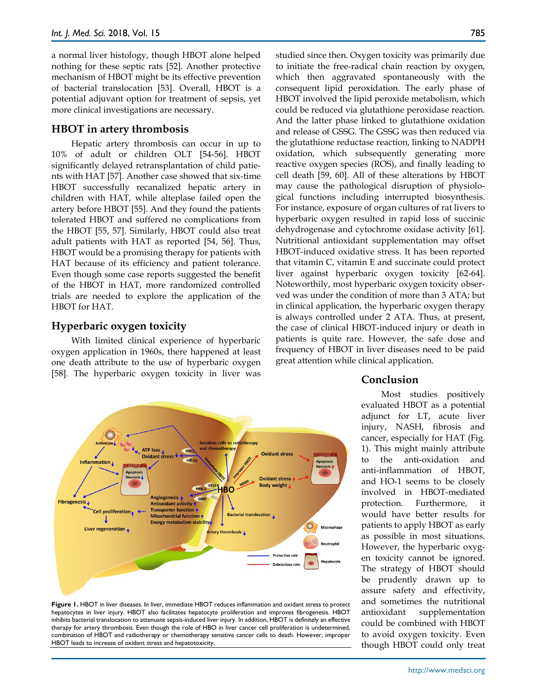a normal liver histology, though HBOT alone helped nothing for these septic rats [52]. Another protective mechanism of HBOT might be its effective prevention of bacterial translocation [53]. Overall, HBOT is a potential adjuvant option for treatment of sepsis, yet more clinical investigations are necessary.

## **HBOT in artery thrombosis**

Hepatic artery thrombosis can occur in up to 10% of adult or children OLT [54-56]. HBOT significantly delayed retransplantation of child patients with HAT [57]. Another case showed that six-time HBOT successfully recanalized hepatic artery in children with HAT, while alteplase failed open the artery before HBOT [55]. And they found the patients tolerated HBOT and suffered no complications from the HBOT [55, 57]. Similarly, HBOT could also treat adult patients with HAT as reported [54, 56]. Thus, HBOT would be a promising therapy for patients with HAT because of its efficiency and patient tolerance. Even though some case reports suggested the benefit of the HBOT in HAT, more randomized controlled trials are needed to explore the application of the HBOT for HAT.

## **Hyperbaric oxygen toxicity**

With limited clinical experience of hyperbaric oxygen application in 1960s, there happened at least one death attribute to the use of hyperbaric oxygen [58]. The hyperbaric oxygen toxicity in liver was



**Figure 1.** HBOT in liver diseases. In liver, immediate HBOT reduces inflammation and oxidant stress to protect hepatocytes in liver injury. HBOT also facilitates hepatocyte proliferation and improves fibrogenesis. HBOT inhibits bacterial translocation to attenuate sepsis-induced liver injury. In addition, HBOT is definitely an effective therapy for artery thrombosis. Even though the role of HBO in liver cancer cell proliferation is undetermined, combination of HBOT and radiotherapy or chemotherapy sensitive cancer cells to death. However, improper HBOT leads to increase of oxidant stress and hepatotoxicity.

studied since then. Oxygen toxicity was primarily due to initiate the free-radical chain reaction by oxygen, which then aggravated spontaneously with the consequent lipid peroxidation. The early phase of HBOT involved the lipid peroxide metabolism, which could be reduced via glutathione peroxidase reaction. And the latter phase linked to glutathione oxidation and release of GSSG. The GSSG was then reduced via the glutathione reductase reaction, linking to NADPH oxidation, which subsequently generating more reactive oxygen species (ROS), and finally leading to cell death [59, 60]. All of these alterations by HBOT may cause the pathological disruption of physiological functions including interrupted biosynthesis. For instance, exposure of organ cultures of rat livers to hyperbaric oxygen resulted in rapid loss of succinic dehydrogenase and cytochrome oxidase activity [61]. Nutritional antioxidant supplementation may offset HBOT-induced oxidative stress. It has been reported that vitamin C, vitamin E and succinate could protect liver against hyperbaric oxygen toxicity [62-64]. Noteworthily, most hyperbaric oxygen toxicity observed was under the condition of more than 3 ATA; but in clinical application, the hyperbaric oxygen therapy is always controlled under 2 ATA. Thus, at present, the case of clinical HBOT-induced injury or death in patients is quite rare. However, the safe dose and frequency of HBOT in liver diseases need to be paid great attention while clinical application.

## **Conclusion**

Most studies positively evaluated HBOT as a potential adjunct for LT, acute liver injury, NASH, fibrosis and cancer, especially for HAT (Fig. 1). This might mainly attribute to the anti-oxidation and anti-inflammation of HBOT, and HO-1 seems to be closely involved in HBOT-mediated protection. Furthermore, it would have better results for patients to apply HBOT as early as possible in most situations. However, the hyperbaric oxygen toxicity cannot be ignored. The strategy of HBOT should be prudently drawn up to assure safety and effectivity, and sometimes the nutritional antioxidant supplementation could be combined with HBOT to avoid oxygen toxicity. Even though HBOT could only treat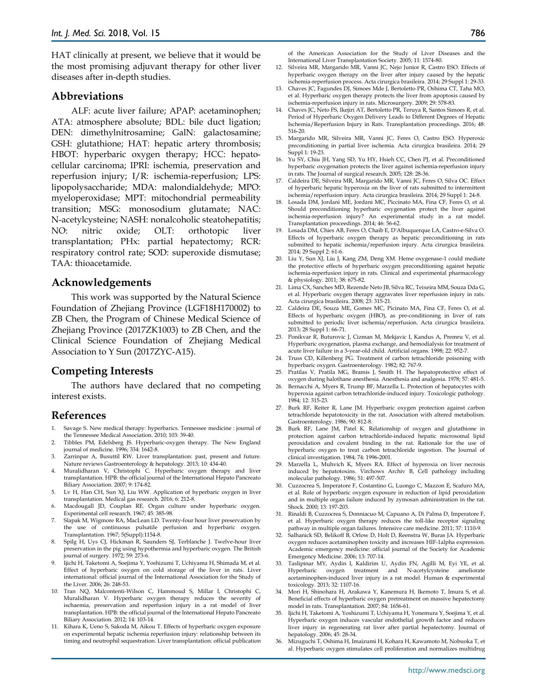HAT clinically at present, we believe that it would be the most promising adjuvant therapy for other liver diseases after in-depth studies.

#### **Abbreviations**

ALF: acute liver failure; APAP: acetaminophen; ATA: atmosphere absolute; BDL: bile duct ligation; DEN: dimethylnitrosamine; GalN: galactosamine; GSH: glutathione; HAT: hepatic artery thrombosis; HBOT: hyperbaric oxygen therapy; HCC: hepatocellular carcinoma; IPRI: ischemia, preservation and reperfusion injury; I/R: ischemia-reperfusion; LPS: lipopolysaccharide; MDA: malondialdehyde; MPO: myeloperoxidase; MPT: mitochondrial permeability transition; MSG: monosodium glutamate; NAC: N-acetylcysteine; NASH: nonalcoholic steatohepatitis; NO: nitric oxide; OLT: orthotopic liver transplantation; PHx: partial hepatectomy; RCR: respiratory control rate; SOD: superoxide dismutase; TAA: thioacetamide.

#### **Acknowledgements**

This work was supported by the Natural Science Foundation of Zhejiang Province (LGF18H170002) to ZB Chen, the Program of Chinese Medical Science of Zhejiang Province (2017ZK1003) to ZB Chen, and the Clinical Science Foundation of Zhejiang Medical Association to Y Sun (2017ZYC-A15).

#### **Competing Interests**

The authors have declared that no competing interest exists.

## **References**

- 1. Savage S. New medical therapy: hyperbarics. Tennessee medicine : journal of the Tennessee Medical Association. 2010; 103: 39-40.
- 2. Tibbles PM, Edelsberg JS. Hyperbaric-oxygen therapy. The New England journal of medicine. 1996; 334: 1642-8.
- 3. Zarrinpar A, Busuttil RW. Liver transplantation: past, present and future. Nature reviews Gastroenterology & hepatology. 2013; 10: 434-40.
- 4. Muralidharan V, Christophi C. Hyperbaric oxygen therapy and liver transplantation. HPB: the official journal of the International Hepato Pancreato Biliary Association. 2007; 9: 174-82.
- 5. Lv H, Han CH, Sun XJ, Liu WW. Application of hyperbaric oxygen in liver transplantation. Medical gas research. 2016; 6: 212-8.
- 6. Macdougall JD, Couplan RE. Organ culture under hyperbaric oxygen. Experimental cell research. 1967; 45: 385-98.
- 7. Slapak M, Wigmore RA, MacLean LD. Twenty-four hour liver preservation by the use of continuous pulsatile perfusion and hyperbaric oxygen. Transplantation. 1967; 5(Suppl):1154-8.
- 8. Spilg H, Uys CJ, Hickman R, Saunders SJ, Terblanche J. Twelve-hour liver preservation in the pig using hypothermia and hyperbaric oxygen. The British journal of surgery. 1972; 59: 273-6.
- 9. Ijichi H, Taketomi A, Soejima Y, Yoshizumi T, Uchiyama H, Shimada M, et al. Effect of hyperbaric oxygen on cold storage of the liver in rats. Liver international: official journal of the International Association for the Study of the Liver. 2006; 26: 248-53.
- 10. Tran NQ, Malcontenti-Wilson C, Hammoud S, Millar I, Christophi C, Muralidharan V. Hyperbaric oxygen therapy reduces the severity of ischaemia, preservation and reperfusion injury in a rat model of liver transplantation. HPB: the official journal of the International Hepato Pancreato Biliary Association. 2012; 14: 103-14.
- 11. Kihara K, Ueno S, Sakoda M, Aikou T. Effects of hyperbaric oxygen exposure on experimental hepatic ischemia reperfusion injury: relationship between its timing and neutrophil sequestration. Liver transplantation: official publication

of the American Association for the Study of Liver Diseases and the International Liver Transplantation Society. 2005; 11: 1574-80.

- 12. Silveira MR, Margarido MR, Vanni JC, Nejo Junior R, Castro ESO. Effects of hyperbaric oxygen therapy on the liver after injury caused by the hepatic ischemia-reperfusion process. Acta cirurgica brasileira. 2014; 29 Suppl 1: 29-33.
- 13. Chaves JC, Fagundes DJ, Simoes Mde J, Bertoletto PR, Oshima CT, Taha MO, et al. Hyperbaric oxygen therapy protects the liver from apoptosis caused by ischemia-reperfusion injury in rats. Microsurgery. 2009; 29: 578-83.
- 14. Chaves JC, Neto FS, Ikejiri AT, Bertoletto PR, Teruya R, Santos Simoes R, et al. Period of Hyperbaric Oxygen Delivery Leads to Different Degrees of Hepatic Ischemia/Reperfusion Injury in Rats. Transplantation proceedings. 2016; 48: 516-20.
- 15. Margarido MR, Silveira MR, Vanni JC, Feres O, Castro ESO. Hyperoxic preconditioning in partial liver ischemia. Acta cirurgica brasileira. 2014; 29 Suppl 1: 19-23.
- 16. Yu SY, Chiu JH, Yang SD, Yu HY, Hsieh CC, Chen PJ, et al. Preconditioned hyperbaric oxygenation protects the liver against ischemia-reperfusion injury in rats. The Journal of surgical research. 2005; 128: 28-36.
- 17. Caldeira DE, Silveira MR, Margarido MR, Vanni JC, Feres O, Silva OC. Effect of hyperbaric hepatic hyperoxia on the liver of rats submitted to intermittent ischemia/reperfusion injury. Acta cirurgica brasileira. 2014; 29 Suppl 1: 24-8.
- 18. Losada DM, Jordani ME, Jordani MC, Piccinato MA, Fina CF, Feres O, et al. Should preconditioning hyperbaric oxygenation protect the liver against ischemia-reperfusion injury? An experimental study in a rat model. Transplantation proceedings. 2014; 46: 56-62.
- 19. Losada DM, Chies AB, Feres O, Chaib E, D'Albuquerque LA, Castro-e-Silva O. Effects of hyperbaric oxygen therapy as hepatic preconditioning in rats submitted to hepatic ischemia/reperfusion injury. Acta cirurgica brasileira. 2014; 29 Suppl 2: 61-6.
- 20. Liu Y, Sun XJ, Liu J, Kang ZM, Deng XM. Heme oxygenase-1 could mediate the protective effects of hyperbaric oxygen preconditioning against hepatic ischemia-reperfusion injury in rats. Clinical and experimental pharmacology & physiology. 2011; 38: 675-82.
- 21. Lima CX, Sanches MD, Rezende Neto JB, Silva RC, Teixeira MM, Souza Dda G, et al. Hyperbaric oxygen therapy aggravates liver reperfusion injury in rats. Acta cirurgica brasileira. 2008; 23: 315-21.
- 22. Caldeira DE, Souza ME, Gomes MC, Picinato MA, Fina CF, Feres O, et al. Effects of hyperbaric oxygen (HBO), as pre-conditioning in liver of rats submitted to periodic liver ischemia/reperfusion. Acta cirurgica brasileira. 2013; 28 Suppl 1: 66-71.
- 23. Ponikvar R, Buturovic J, Cizman M, Mekjavic I, Kandus A, Premru V, et al. Hyperbaric oxygenation, plasma exchange, and hemodialysis for treatment of acute liver failure in a 3-year-old child. Artificial organs. 1998; 22: 952-7.
- 24. Truss CD, Killenberg PG. Treatment of carbon tetrachloride poisoning with hyperbaric oxygen. Gastroenterology. 1982; 82: 767-9.
- 25. Pratilas V, Pratila MG, Bramis J, Smith H. The hepatoprotective effect of oxygen during halothane anesthesia. Anesthesia and analgesia. 1978; 57: 481-5.
- 26. Bernacchi A, Myers R, Trump BF, Marzella L. Protection of hepatocytes with hyperoxia against carbon tetrachloride-induced injury. Toxicologic pathology. 1984; 12: 315-23.
- 27. Burk RF, Reiter R, Lane JM. Hyperbaric oxygen protection against carbon tetrachloride hepatotoxicity in the rat. Association with altered metabolism. Gastroenterology. 1986; 90: 812-8.
- 28. Burk RF, Lane JM, Patel K. Relationship of oxygen and glutathione in protection against carbon tetrachloride-induced hepatic microsomal lipid peroxidation and covalent binding in the rat. Rationale for the use of hyperbaric oxygen to treat carbon tetrachloride ingestion. The Journal of clinical investigation. 1984; 74: 1996-2001.
- 29. Marzella L, Muhvich K, Myers RA. Effect of hyperoxia on liver necrosis induced by hepatotoxins. Virchows Archiv B, Cell pathology including molecular pathology. 1986; 51: 497-507.
- 30. Cuzzocrea S, Imperatore F, Costantino G, Luongo C, Mazzon E, Scafuro MA, et al. Role of hyperbaric oxygen exposure in reduction of lipid peroxidation and in multiple organ failure induced by zymosan administration in the rat. Shock. 2000; 13: 197-203.
- 31. Rinaldi B, Cuzzocrea S, Donniacuo M, Capuano A, Di Palma D, Imperatore F, et al. Hyperbaric oxygen therapy reduces the toll-like receptor signaling pathway in multiple organ failures. Intensive care medicine. 2011; 37: 1110-9.
- 32. Salhanick SD, Belikoff B, Orlow D, Holt D, Reenstra W, Buras JA. Hyperbaric oxygen reduces acetaminophen toxicity and increases HIF-1alpha expression. Academic emergency medicine: official journal of the Society for Academic Emergency Medicine. 2006; 13: 707-14.
- 33. Taslipinar MY, Aydin I, Kaldirim U, Aydin FN, Agilli M, Eyi YE, et al. Hyperbaric oxygen treatment and N-acetylcysteine ameliorate acetaminophen-induced liver injury in a rat model. Human & experimental toxicology. 2013; 32: 1107-16.
- 34. Mori H, Shinohara H, Arakawa Y, Kanemura H, Ikemoto T, Imura S, et al. Beneficial effects of hyperbaric oxygen pretreatment on massive hepatectomy model in rats. Transplantation. 2007; 84: 1656-61.
- 35. Ijichi H, Taketomi A, Yoshizumi T, Uchiyama H, Yonemura Y, Soejima Y, et al. Hyperbaric oxygen induces vascular endothelial growth factor and reduces liver injury in regenerating rat liver after partial hepatectomy. Journal of hepatology. 2006; 45: 28-34.
- 36. Mizuguchi T, Oshima H, Imaizumi H, Kohara H, Kawamoto M, Nobuoka T, et al. Hyperbaric oxygen stimulates cell proliferation and normalizes multidrug